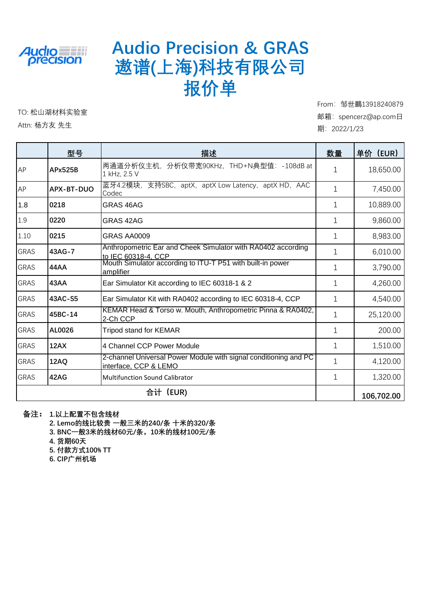

### **Audio Precision & GRAS 遨谱(上海)科技有限公司 报价单**

TO: 松山湖材料实验室

Attn: 杨方友 先生

From: 邹世鵬13918240879 邮箱:spencerz@ap.com日 期:2022/1/23

|             | 型号                                                                       | 描述                                                                                        | 数量           | 单价 (EUR)   |
|-------------|--------------------------------------------------------------------------|-------------------------------------------------------------------------------------------|--------------|------------|
| AP          | 两通道分析仪主机,分析仪带宽90KHz,THD+N典型值:-108dB at<br><b>APx525B</b><br>1 kHz, 2.5 V |                                                                                           | 1            | 18,650.00  |
| AP          | APX-BT-DUO                                                               | 蓝牙4.2模块,支持SBC,aptX,aptX Low Latency,aptX HD,AAC<br>Codec                                  | 1            | 7,450.00   |
| 1.8         | 0218                                                                     | GRAS 46AG                                                                                 | 1            | 10,889.00  |
| 1.9         | 0220                                                                     | GRAS 42AG                                                                                 | 1            | 9,860.00   |
| 1.10        | 0215                                                                     | GRAS AA0009                                                                               | 1            | 8,983.00   |
| <b>GRAS</b> | 43AG-7                                                                   | Anthropometric Ear and Cheek Simulator with RA0402 according<br>to IEC 60318-4, CCP       | 1            | 6,010.00   |
| <b>GRAS</b> | 44AA                                                                     | Mouth Simulator according to ITU-T P51 with built-in power<br>amplifier                   | 1            | 3,790.00   |
| <b>GRAS</b> | 43AA                                                                     | Ear Simulator Kit according to IEC 60318-1 & 2                                            | 1            | 4,260.00   |
| <b>GRAS</b> | 43AC-S5                                                                  | Ear Simulator Kit with RA0402 according to IEC 60318-4, CCP                               | 1            | 4,540.00   |
| <b>GRAS</b> | 45BC-14                                                                  | KEMAR Head & Torso w. Mouth, Anthropometric Pinna & RA0402,<br>2-Ch CCP                   | $\mathbf{1}$ | 25,120.00  |
| <b>GRAS</b> | AL0026                                                                   | <b>Tripod stand for KEMAR</b>                                                             | 1            | 200.00     |
| <b>GRAS</b> | 12AX                                                                     | 4 Channel CCP Power Module                                                                | 1            | 1,510.00   |
| <b>GRAS</b> | 12AQ                                                                     | 2-channel Universal Power Module with signal conditioning and PC<br>interface, CCP & LEMO | 1            | 4,120.00   |
| <b>GRAS</b> | 42AG                                                                     | <b>Multifunction Sound Calibrator</b>                                                     | 1            | 1,320.00   |
|             |                                                                          | 合计 (EUR)                                                                                  |              | 106,702.00 |

**备注: 1.以上配置不包含线材**

**2. Lemo的线比较贵 一般三米的240/条 十米的320/条**

**3. BNC一般3米的线材60元/条,10米的线材100元/条**

**4. 货期60天**

**5. 付款方式100% TT**

**6. CIP广州机场**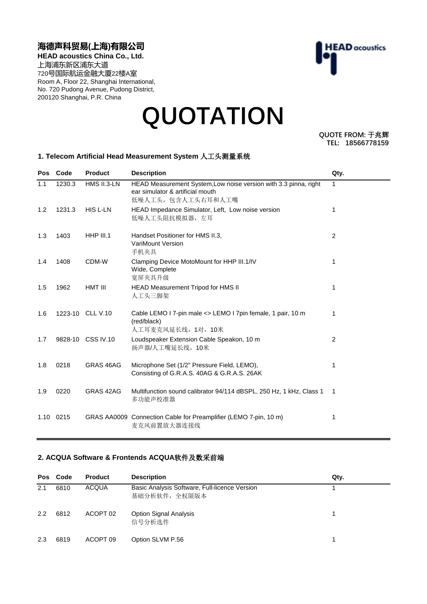#### **海德声科贸易(上海)有限公司**

**HEAD acoustics China Co., Ltd.** 上海浦东新区浦东大道 720号国际航运金融大厦22楼A室 Room A, Floor 22, Shanghai International, No. 720 Pudong Avenue, Pudong District, 200120 Shanghai, P.R. China

# **HEAD** acoustics

## **QUOTATION**

**QUOTE FROM: 于兆辉 TEL: 18566778159**

#### **1. Telecom Artificial Head Measurement System** 人工头测量系统

| Pos       | Code   | <b>Product</b>    | <b>Description</b>                                                                                                         | Qty.         |
|-----------|--------|-------------------|----------------------------------------------------------------------------------------------------------------------------|--------------|
| 1.1       | 1230.3 | HMS II.3-LN       | HEAD Measurement System, Low noise version with 3.3 pinna, right<br>ear simulator & artificial mouth<br>低噪人工头, 包含人工头右耳和人工嘴 | $\mathbf{1}$ |
| 1.2       | 1231.3 | <b>HIS L-LN</b>   | HEAD Impedance Simulator, Left, Low noise version<br>低噪人工头阻抗模拟器, 左耳                                                        | 1            |
| 1.3       | 1403   | <b>HHP III.1</b>  | Handset Positioner for HMS II.3,<br><b>VariMount Version</b><br>手机夹具                                                       | 2            |
| 1.4       | 1408   | CDM-W             | Clamping Device MotoMount for HHP III.1/IV<br>Wide, Complete<br>宽屏夹具升级                                                     | 1            |
| 1.5       | 1962   | HMT III           | HEAD Measurement Tripod for HMS II<br>人工头三脚架                                                                               | 1            |
| 1.6       |        | 1223-10 CLL V.10  | Cable LEMO I 7-pin male <> LEMO I 7pin female, 1 pair, 10 m<br>(red/black)<br>人工耳麦克风延长线, 1对, 10米                           | 1            |
| 1.7       |        | 9828-10 CSS IV.10 | Loudspeaker Extension Cable Speakon, 10 m<br>扬声器/人工嘴延长线, 10米                                                               | 2            |
| 1.8       | 0218   | GRAS 46AG         | Microphone Set (1/2" Pressure Field, LEMO),<br>Consisting of G.R.A.S. 40AG & G.R.A.S. 26AK                                 | 1            |
| 1.9       | 0220   | GRAS 42AG         | Multifunction sound calibrator 94/114 dBSPL, 250 Hz, 1 kHz, Class 1<br>多功能声校准器                                             | 1            |
| 1.10 0215 |        |                   | GRAS AA0009 Connection Cable for Preamplifier (LEMO 7-pin, 10 m)<br>麦克风前置放大器连接线                                            | 1            |

#### **2. ACQUA Software & Frontends ACQUA**软件及数采前端

| <b>Pos</b> | Code | <b>Product</b> | <b>Description</b>                                             | Qty. |  |
|------------|------|----------------|----------------------------------------------------------------|------|--|
| 2.1        | 6810 | <b>ACQUA</b>   | Basic Analysis Software, Full-licence Version<br>基础分析软件, 全权限版本 |      |  |
| 2.2        | 6812 | ACOPT 02       | <b>Option Signal Analysis</b><br>信号分析选件                        |      |  |
| 2.3        | 6819 | ACOPT 09       | Option SLVM P.56                                               |      |  |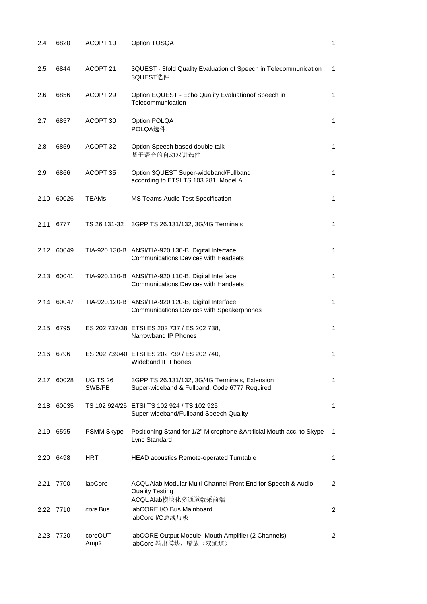| 2.4  | 6820       | ACOPT <sub>10</sub>          | Option TOSQA                                                                                       | 1              |
|------|------------|------------------------------|----------------------------------------------------------------------------------------------------|----------------|
| 2.5  | 6844       | ACOPT 21                     | 3QUEST - 3fold Quality Evaluation of Speech in Telecommunication<br>3QUEST选件                       | 1              |
| 2.6  | 6856       | ACOPT <sub>29</sub>          | Option EQUEST - Echo Quality Evaluationof Speech in<br>Telecommunication                           | 1              |
| 2.7  | 6857       | ACOPT 30                     | Option POLQA<br>POLQA选件                                                                            | 1              |
| 2.8  | 6859       | ACOPT 32                     | Option Speech based double talk<br>基于语音的自动双讲选件                                                     | 1              |
| 2.9  | 6866       | ACOPT 35                     | Option 3QUEST Super-wideband/Fullband<br>according to ETSI TS 103 281, Model A                     | $\mathbf{1}$   |
| 2.10 | 60026      | <b>TEAMs</b>                 | <b>MS Teams Audio Test Specification</b>                                                           | 1              |
| 2.11 | 6777       | TS 26 131-32                 | 3GPP TS 26.131/132, 3G/4G Terminals                                                                | 1              |
| 2.12 | 60049      |                              | TIA-920.130-B ANSI/TIA-920.130-B, Digital Interface<br><b>Communications Devices with Headsets</b> | 1              |
| 2.13 | 60041      |                              | TIA-920.110-B ANSI/TIA-920.110-B, Digital Interface<br><b>Communications Devices with Handsets</b> | 1              |
| 2.14 | 60047      |                              | TIA-920.120-B ANSI/TIA-920.120-B, Digital Interface<br>Communications Devices with Speakerphones   | 1              |
|      | 2.15 6795  |                              | ES 202 737/38 ETSI ES 202 737 / ES 202 738,<br>Narrowband IP Phones                                | $\mathbf{1}$   |
|      | 2.16 6796  |                              | ES 202 739/40 ETSI ES 202 739 / ES 202 740,<br>Wideband IP Phones                                  | 1              |
| 2.17 | 60028      | <b>UG TS 26</b><br>SWB/FB    | 3GPP TS 26.131/132, 3G/4G Terminals, Extension<br>Super-wideband & Fullband, Code 6777 Required    | 1              |
|      | 2.18 60035 |                              | TS 102 924/25 ETSI TS 102 924 / TS 102 925<br>Super-wideband/Fullband Speech Quality               | 1              |
|      | 2.19 6595  | <b>PSMM Skype</b>            | Positioning Stand for 1/2" Microphone & Artificial Mouth acc. to Skype-<br>Lync Standard           | $\overline{1}$ |
|      | 2.20 6498  | HRT I                        | HEAD acoustics Remote-operated Turntable                                                           | 1              |
| 2.21 | 7700       | labCore                      | ACQUAlab Modular Multi-Channel Front End for Speech & Audio<br><b>Quality Testing</b>              | 2              |
|      | 2.22 7710  | core Bus                     | ACQUAlab模块化多通道数采前端<br>labCORE I/O Bus Mainboard<br>labCore I/O总线母板                                 | 2              |
|      | 2.23 7720  | coreOUT-<br>Amp <sub>2</sub> | labCORE Output Module, Mouth Amplifier (2 Channels)<br>labCore 输出模块, 嘴放(双通道)                       | 2              |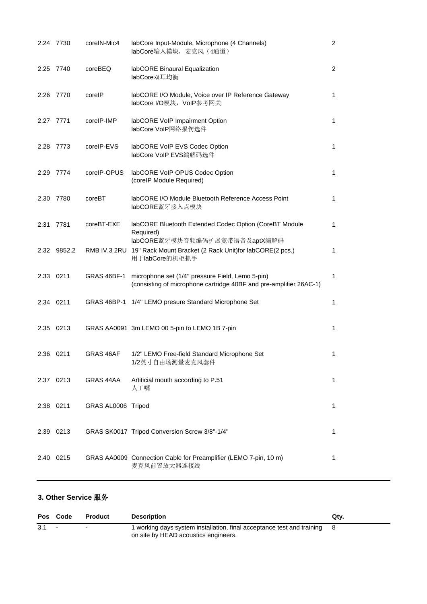|      | 2.24 7730   | coreIN-Mic4        | labCore Input-Module, Microphone (4 Channels)<br>labCore输入模块, 麦克风 (4通道)                                                | $\overline{c}$ |
|------|-------------|--------------------|------------------------------------------------------------------------------------------------------------------------|----------------|
|      | 2.25 7740   | coreBEQ            | labCORE Binaural Equalization<br>labCore双耳均衡                                                                           | $\overline{2}$ |
| 2.26 | 7770        | corelP             | labCORE I/O Module, Voice over IP Reference Gateway<br>labCore I/O模块, VoIP参考网关                                         | 1              |
|      | 2.27 7771   | corelP-IMP         | labCORE VoIP Impairment Option<br>labCore VoIP网络损伤选件                                                                   | 1              |
| 2.28 | 7773        | corelP-EVS         | labCORE VoIP EVS Codec Option<br>labCore VoIP EVS编解码选件                                                                 | 1              |
|      | 2.29 7774   | corelP-OPUS        | labCORE VoIP OPUS Codec Option<br>(corelP Module Required)                                                             | 1              |
| 2.30 | 7780        | coreBT             | labCORE I/O Module Bluetooth Reference Access Point<br>labCORE蓝牙接入点模块                                                  | 1              |
| 2.31 | 7781        | coreBT-EXE         | labCORE Bluetooth Extended Codec Option (CoreBT Module<br>Required)<br>labCORE蓝牙模块音频编码扩展宽带语音及aptX编解码                   | 1              |
|      | 2.32 9852.2 | RMB IV.3 2RU       | 19" Rack Mount Bracket (2 Rack Unit)for labCORE(2 pcs.)<br>用于labCore的机柜抓手                                              | 1              |
|      | 2.33 0211   | GRAS 46BF-1        | microphone set (1/4" pressure Field, Lemo 5-pin)<br>(consisting of microphone cartridge 40BF and pre-amplifier 26AC-1) | 1              |
|      | 2.34 0211   |                    | GRAS 46BP-1 1/4" LEMO presure Standard Microphone Set                                                                  | 1              |
|      | 2.35 0213   |                    | GRAS AA0091 3m LEMO 00 5-pin to LEMO 1B 7-pin                                                                          | 1              |
|      | 2.36 0211   | GRAS 46AF          | 1/2" LEMO Free-field Standard Microphone Set<br>1/2英寸自由场测量麦克风套件                                                        | 1              |
|      | 2.37 0213   | GRAS 44AA          | Artiticial mouth according to P.51<br>人工嘴                                                                              | 1              |
| 2.38 | 0211        | GRAS AL0006 Tripod |                                                                                                                        | 1              |
| 2.39 | 0213        |                    | GRAS SK0017 Tripod Conversion Screw 3/8"-1/4"                                                                          | 1              |
| 2.40 | 0215        |                    | GRAS AA0009 Connection Cable for Preamplifier (LEMO 7-pin, 10 m)<br>麦克风前置放大器连接线                                        | 1              |

#### **3. Other Service** 服务

|     | Pos Code | Product | <b>Description</b>                                                                                               | Qtv. |
|-----|----------|---------|------------------------------------------------------------------------------------------------------------------|------|
| 3.1 |          |         | 1 working days system installation, final acceptance test and training 8<br>on site by HEAD acoustics engineers. |      |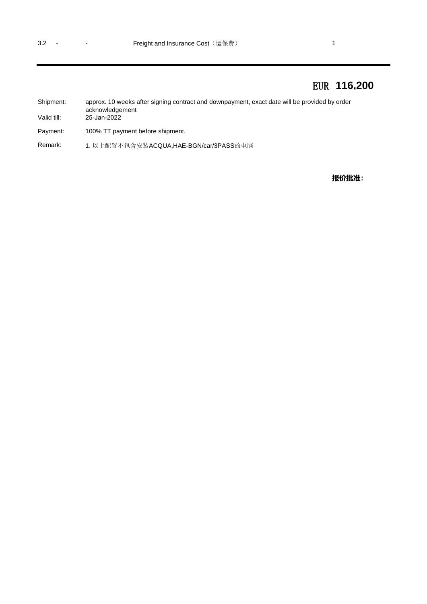### EUR **116,200**

| Shipment:   | approx. 10 weeks after signing contract and downpayment, exact date will be provided by order |
|-------------|-----------------------------------------------------------------------------------------------|
|             | acknowledgement                                                                               |
| Valid till: | 25-Jan-2022                                                                                   |
|             |                                                                                               |

Payment: 100% TT payment before shipment.

Remark: 1. 以上配置不包含安装ACQUA,HAE-BGN/car/3PASS的电脑

**报价批准:**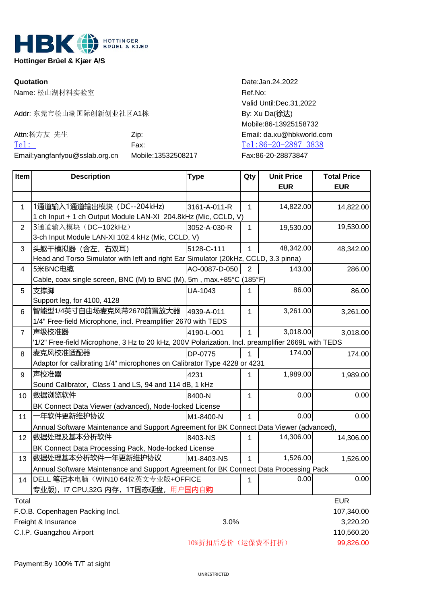

**Hottinger Brüel & Kjær A/S** 

Name: 松山湖材料实验室 Ref.No:

Addr: 东莞市松山湖国际创新创业社区A1栋 By: Xu Da(徐达)

| Attn:杨方友 先生                       | Zip:               | Email: da.xu@hbkwo |
|-----------------------------------|--------------------|--------------------|
| $Te1$ :                           | Fax:               | Tel:86-20-2887 3   |
| Email: yang fan fyou@sslab.org.cn | Mobile:13532508217 | Fax:86-20-28873847 |

**Quotation** Date:Jan.24.2022 Valid Until:Dec.31,2022 Mobile:86-13925158732 Email: da.xu@hbkworld.com [Tel:](tel:020-87236471) 86-20-2887 3838

| Item                            | <b>Description</b>                                                                                 | <b>Type</b>      | Qty          | <b>Unit Price</b><br><b>EUR</b> | <b>Total Price</b><br><b>EUR</b> |
|---------------------------------|----------------------------------------------------------------------------------------------------|------------------|--------------|---------------------------------|----------------------------------|
|                                 |                                                                                                    |                  |              |                                 |                                  |
| 1                               | 1通道输入1通道输出模块 (DC--204kHz)<br>1 ch Input + 1 ch Output Module LAN-XI 204.8kHz (Mic, CCLD, V)        | 3161-A-011-R     | 1            | 14,822.00                       | 14,822.00                        |
| $\overline{2}$                  | 3通道输入模块 (DC--102kHz)                                                                               | 3052-A-030-R     | 1            | 19,530.00                       | 19,530.00                        |
|                                 | 3-ch Input Module LAN-XI 102.4 kHz (Mic, CCLD, V)                                                  |                  |              |                                 |                                  |
| 3                               | 头躯干模拟器 (含左、右双耳)                                                                                    | 5128-C-111       | 1            | 48,342.00                       | 48,342.00                        |
|                                 | Head and Torso Simulator with left and right Ear Simulator (20kHz, CCLD, 3.3 pinna)                |                  |              |                                 |                                  |
| 4                               | 5米BNC电缆                                                                                            | AO-0087-D-050    | 2            | 143.00                          | 286.00                           |
|                                 | Cable, coax single screen, BNC (M) to BNC (M), 5m, max.+85°C (185°F)                               |                  |              |                                 |                                  |
| 5                               | 支撑脚                                                                                                | UA-1043          | 1            | 86.00                           | 86.00                            |
|                                 | Support leg, for 4100, 4128                                                                        |                  |              |                                 |                                  |
| 6                               | 智能型1/4英寸自由场麦克风带2670前置放大器 4939-A-011                                                                |                  | $\mathbf{1}$ | 3,261.00                        | 3,261.00                         |
|                                 | 1/4" Free-field Microphone, incl. Preamplifier 2670 with TEDS                                      |                  |              |                                 |                                  |
| $\overline{7}$                  | 声级校准器                                                                                              | 4190-L-001       | 1            | 3,018.00                        | 3,018.00                         |
|                                 | '1/2" Free-field Microphone, 3 Hz to 20 kHz, 200V Polarization. Incl. preamplifier 2669L with TEDS |                  |              |                                 |                                  |
| 8                               | 麦克风校准适配器                                                                                           | DP-0775          |              | 174.00                          | 174.00                           |
|                                 | Adaptor for calibrating 1/4" microphones on Calibrator Type 4228 or 4231                           |                  |              |                                 |                                  |
| $9\,$                           | 声校准器                                                                                               | 4231             | 1            | 1,989.00                        | 1,989.00                         |
|                                 | Sound Calibrator, Class 1 and LS, 94 and 114 dB, 1 kHz                                             |                  |              |                                 |                                  |
| 10                              | 数据浏览软件                                                                                             | 8400-N           | 1            | 0.00                            | 0.00                             |
|                                 | BK Connect Data Viewer (advanced), Node-locked License                                             |                  |              |                                 |                                  |
| 11                              | 年软件更新维护协议                                                                                          | M1-8400-N        | 1            | 0.00                            | 0.00                             |
|                                 | Annual Software Maintenance and Support Agreement for BK Connect Data Viewer (advanced).           |                  |              |                                 |                                  |
| 12                              | 数据处理及基本分析软件                                                                                        | 8403-NS          | 1            | 14,306.00                       | 14,306.00                        |
|                                 | BK Connect Data Processing Pack, Node-locked License                                               |                  |              |                                 |                                  |
| 13                              | 数据处理基本分析软件一年更新维护协议                                                                                 | M1-8403-NS       | 1            | 1,526.00                        | 1,526.00                         |
|                                 | Annual Software Maintenance and Support Agreement for BK Connect Data Processing Pack              |                  |              |                                 |                                  |
| 14                              | DELL 笔记本电脑(WIN1064位英文专业版+OFFICE                                                                    |                  | 1            | 0.00                            | 0.00                             |
|                                 | 专业版), I7 CPU,32G 内存, 1T固态硬盘, 用户国内自购                                                                |                  |              |                                 |                                  |
| Total                           |                                                                                                    |                  |              |                                 |                                  |
| F.O.B. Copenhagen Packing Incl. |                                                                                                    |                  |              |                                 | 107,340.00                       |
|                                 | Freight & Insurance<br>3.0%                                                                        |                  |              |                                 | 3,220.20                         |
|                                 | C.I.P. Guangzhou Airport                                                                           |                  |              |                                 | 110,560.20                       |
|                                 |                                                                                                    | 10%折扣后总价(运保费不打折) |              |                                 | 99,826.00                        |